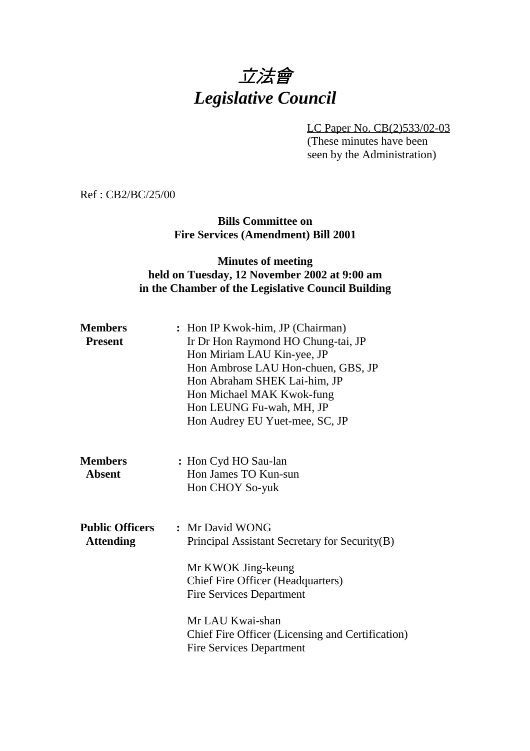# 立法會 *Legislative Council*

LC Paper No. CB(2)533/02-03

(These minutes have been seen by the Administration)

Ref : CB2/BC/25/00

**Bills Committee on Fire Services (Amendment) Bill 2001**

#### **Minutes of meeting held on Tuesday, 12 November 2002 at 9:00 am in the Chamber of the Legislative Council Building**

| : Hon IP Kwok-him, JP (Chairman)<br>Ir Dr Hon Raymond HO Chung-tai, JP<br>Hon Miriam LAU Kin-yee, JP<br>Hon Ambrose LAU Hon-chuen, GBS, JP<br>Hon Abraham SHEK Lai-him, JP<br>Hon Michael MAK Kwok-fung<br>Hon LEUNG Fu-wah, MH, JP<br>Hon Audrey EU Yuet-mee, SC, JP            |
|----------------------------------------------------------------------------------------------------------------------------------------------------------------------------------------------------------------------------------------------------------------------------------|
| : Hon Cyd HO Sau-lan<br>Hon James TO Kun-sun<br>Hon CHOY So-yuk                                                                                                                                                                                                                  |
| : Mr David WONG<br>Principal Assistant Secretary for Security(B)<br>Mr KWOK Jing-keung<br><b>Chief Fire Officer (Headquarters)</b><br><b>Fire Services Department</b><br>Mr LAU Kwai-shan<br>Chief Fire Officer (Licensing and Certification)<br><b>Fire Services Department</b> |
|                                                                                                                                                                                                                                                                                  |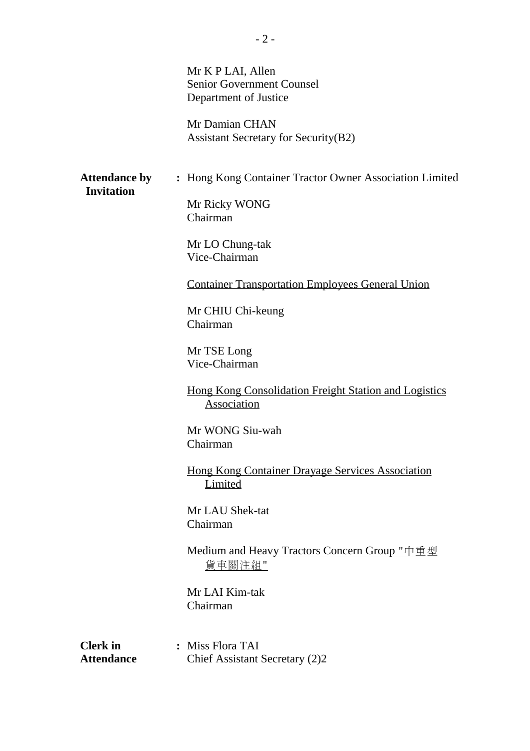|                                           | Mr K P LAI, Allen<br><b>Senior Government Counsel</b><br>Department of Justice<br>Mr Damian CHAN<br><b>Assistant Secretary for Security (B2)</b>                                                                                                                                                                                                                                                                                                                                                                                  |
|-------------------------------------------|-----------------------------------------------------------------------------------------------------------------------------------------------------------------------------------------------------------------------------------------------------------------------------------------------------------------------------------------------------------------------------------------------------------------------------------------------------------------------------------------------------------------------------------|
| <b>Attendance by</b><br><b>Invitation</b> | : Hong Kong Container Tractor Owner Association Limited<br>Mr Ricky WONG<br>Chairman<br>Mr LO Chung-tak<br>Vice-Chairman<br><b>Container Transportation Employees General Union</b><br>Mr CHIU Chi-keung<br>Chairman<br>Mr TSE Long<br>Vice-Chairman<br><u>Hong Kong Consolidation Freight Station and Logistics</u><br>Association<br>Mr WONG Siu-wah<br>Chairman<br><b>Hong Kong Container Drayage Services Association</b><br>Limited<br>Mr LAU Shek-tat<br>Chairman<br>Medium and Heavy Tractors Concern Group "中重型<br>貨車關注組" |
| <b>Clerk</b> in<br><b>Attendance</b>      | Mr LAI Kim-tak<br>Chairman<br>: Miss Flora TAI<br>Chief Assistant Secretary (2)2                                                                                                                                                                                                                                                                                                                                                                                                                                                  |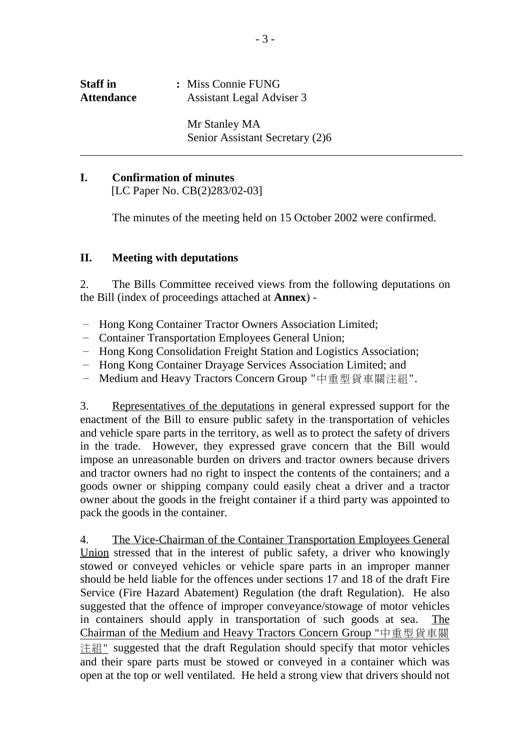| <b>Staff</b> in   | : Miss Connie FUNG        |
|-------------------|---------------------------|
| <b>Attendance</b> | Assistant Legal Adviser 3 |
|                   |                           |
|                   | Mr Stanley MA             |

#### **I. Confirmation of minutes**

ı

[LC Paper No. CB(2)283/02-03]

The minutes of the meeting held on 15 October 2002 were confirmed.

#### **II. Meeting with deputations**

2. The Bills Committee received views from the following deputations on the Bill (index of proceedings attached at **Annex**) -

- Hong Kong Container Tractor Owners Association Limited;
- Container Transportation Employees General Union;
- Hong Kong Consolidation Freight Station and Logistics Association;
- Hong Kong Container Drayage Services Association Limited; and
- Medium and Heavy Tractors Concern Group "中重型貨車關注組".

3. Representatives of the deputations in general expressed support for the enactment of the Bill to ensure public safety in the transportation of vehicles and vehicle spare parts in the territory, as well as to protect the safety of drivers in the trade. However, they expressed grave concern that the Bill would impose an unreasonable burden on drivers and tractor owners because drivers and tractor owners had no right to inspect the contents of the containers; and a goods owner or shipping company could easily cheat a driver and a tractor owner about the goods in the freight container if a third party was appointed to pack the goods in the container.

4. The Vice-Chairman of the Container Transportation Employees General Union stressed that in the interest of public safety, a driver who knowingly stowed or conveyed vehicles or vehicle spare parts in an improper manner should be held liable for the offences under sections 17 and 18 of the draft Fire Service (Fire Hazard Abatement) Regulation (the draft Regulation). He also suggested that the offence of improper conveyance/stowage of motor vehicles in containers should apply in transportation of such goods at sea. The Chairman of the Medium and Heavy Tractors Concern Group "中重型貨車關 注組" suggested that the draft Regulation should specify that motor vehicles and their spare parts must be stowed or conveyed in a container which was open at the top or well ventilated. He held a strong view that drivers should not

Senior Assistant Secretary (2)6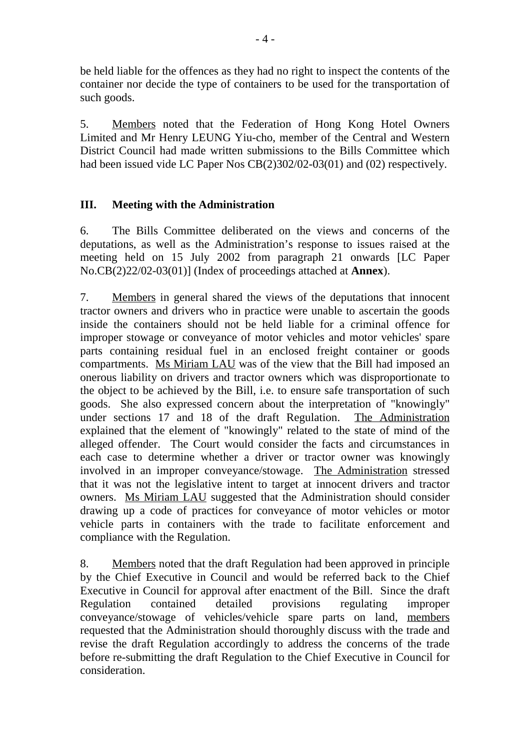be held liable for the offences as they had no right to inspect the contents of the container nor decide the type of containers to be used for the transportation of such goods.

5. Members noted that the Federation of Hong Kong Hotel Owners Limited and Mr Henry LEUNG Yiu-cho, member of the Central and Western District Council had made written submissions to the Bills Committee which had been issued vide LC Paper Nos CB(2)302/02-03(01) and (02) respectively.

#### **III. Meeting with the Administration**

6. The Bills Committee deliberated on the views and concerns of the deputations, as well as the Administration's response to issues raised at the meeting held on 15 July 2002 from paragraph 21 onwards [LC Paper No.CB(2)22/02-03(01)] (Index of proceedings attached at **Annex**).

7. Members in general shared the views of the deputations that innocent tractor owners and drivers who in practice were unable to ascertain the goods inside the containers should not be held liable for a criminal offence for improper stowage or conveyance of motor vehicles and motor vehicles' spare parts containing residual fuel in an enclosed freight container or goods compartments. Ms Miriam LAU was of the view that the Bill had imposed an onerous liability on drivers and tractor owners which was disproportionate to the object to be achieved by the Bill, i.e. to ensure safe transportation of such goods. She also expressed concern about the interpretation of "knowingly" under sections 17 and 18 of the draft Regulation. The Administration explained that the element of "knowingly" related to the state of mind of the alleged offender. The Court would consider the facts and circumstances in each case to determine whether a driver or tractor owner was knowingly involved in an improper conveyance/stowage. The Administration stressed that it was not the legislative intent to target at innocent drivers and tractor owners. Ms Miriam LAU suggested that the Administration should consider drawing up a code of practices for conveyance of motor vehicles or motor vehicle parts in containers with the trade to facilitate enforcement and compliance with the Regulation.

8. Members noted that the draft Regulation had been approved in principle by the Chief Executive in Council and would be referred back to the Chief Executive in Council for approval after enactment of the Bill. Since the draft Regulation contained detailed provisions regulating improper conveyance/stowage of vehicles/vehicle spare parts on land, members requested that the Administration should thoroughly discuss with the trade and revise the draft Regulation accordingly to address the concerns of the trade before re-submitting the draft Regulation to the Chief Executive in Council for consideration.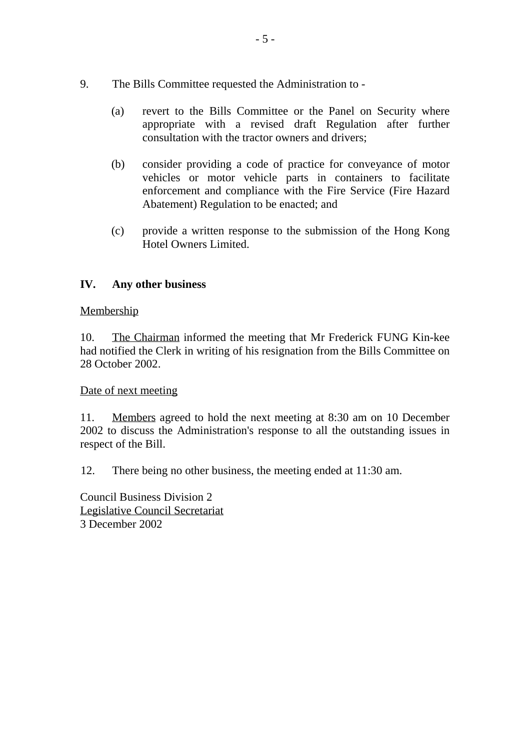- 9. The Bills Committee requested the Administration to
	- (a) revert to the Bills Committee or the Panel on Security where appropriate with a revised draft Regulation after further consultation with the tractor owners and drivers;
	- (b) consider providing a code of practice for conveyance of motor vehicles or motor vehicle parts in containers to facilitate enforcement and compliance with the Fire Service (Fire Hazard Abatement) Regulation to be enacted; and
	- (c) provide a written response to the submission of the Hong Kong Hotel Owners Limited.

#### **IV. Any other business**

#### Membership

10. The Chairman informed the meeting that Mr Frederick FUNG Kin-kee had notified the Clerk in writing of his resignation from the Bills Committee on 28 October 2002.

#### Date of next meeting

11. Members agreed to hold the next meeting at 8:30 am on 10 December 2002 to discuss the Administration's response to all the outstanding issues in respect of the Bill.

12. There being no other business, the meeting ended at 11:30 am.

Council Business Division 2 Legislative Council Secretariat 3 December 2002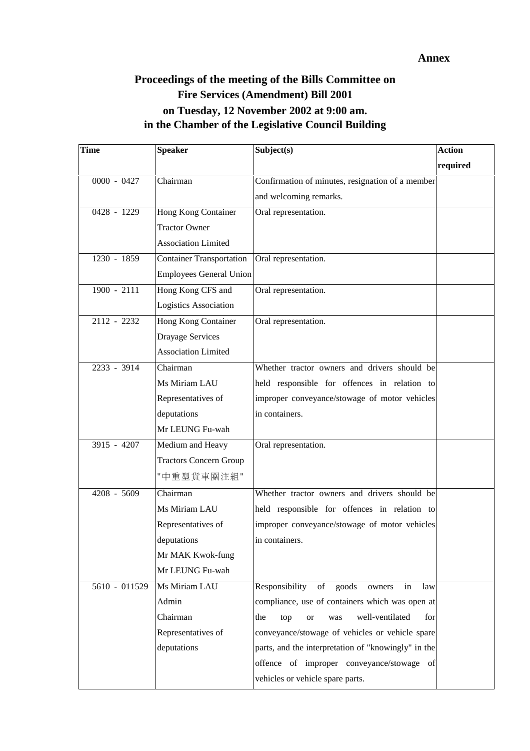#### **Annex**

### **Proceedings of the meeting of the Bills Committee on Fire Services (Amendment) Bill 2001 on Tuesday, 12 November 2002 at 9:00 am. in the Chamber of the Legislative Council Building**

| <b>Time</b>                | <b>Speaker</b>                  | Subject(s)                                               | <b>Action</b> |
|----------------------------|---------------------------------|----------------------------------------------------------|---------------|
|                            |                                 |                                                          | required      |
| $0000 - 0427$              | Chairman                        | Confirmation of minutes, resignation of a member         |               |
|                            |                                 | and welcoming remarks.                                   |               |
| 0428 - 1229                | Hong Kong Container             | Oral representation.                                     |               |
|                            | <b>Tractor Owner</b>            |                                                          |               |
|                            | <b>Association Limited</b>      |                                                          |               |
| 1230 - 1859                | <b>Container Transportation</b> | Oral representation.                                     |               |
|                            | Employees General Union         |                                                          |               |
| $1900 - 2111$              | Hong Kong CFS and               | Oral representation.                                     |               |
|                            | Logistics Association           |                                                          |               |
| $2112 - 2232$              | Hong Kong Container             | Oral representation.                                     |               |
|                            | Drayage Services                |                                                          |               |
|                            | <b>Association Limited</b>      |                                                          |               |
| 2233 - 3914                | Chairman                        | Whether tractor owners and drivers should be             |               |
|                            | Ms Miriam LAU                   | held responsible for offences in relation to             |               |
|                            | Representatives of              | improper conveyance/stowage of motor vehicles            |               |
|                            | deputations                     | in containers.                                           |               |
|                            | Mr LEUNG Fu-wah                 |                                                          |               |
| $3915 - 4207$              | Medium and Heavy                | Oral representation.                                     |               |
|                            | <b>Tractors Concern Group</b>   |                                                          |               |
|                            | "中重型貨車關注組"                      |                                                          |               |
| 4208 - 5609                | Chairman                        | Whether tractor owners and drivers should be             |               |
|                            | Ms Miriam LAU                   | held responsible for offences in relation to             |               |
|                            | Representatives of              | improper conveyance/stowage of motor vehicles            |               |
|                            | deputations                     | in containers.                                           |               |
|                            | Mr MAK Kwok-fung                |                                                          |               |
|                            | Mr LEUNG Fu-wah                 |                                                          |               |
| $\overline{5610}$ - 011529 | Ms Miriam LAU                   | Responsibility<br>of<br>goods<br>law<br>in<br>owners     |               |
|                            | Admin                           | compliance, use of containers which was open at          |               |
|                            | Chairman                        | well-ventilated<br>the<br>top<br><b>or</b><br>was<br>for |               |
|                            | Representatives of              | conveyance/stowage of vehicles or vehicle spare          |               |
|                            | deputations                     | parts, and the interpretation of "knowingly" in the      |               |
|                            |                                 | offence of improper conveyance/stowage of                |               |
|                            |                                 | vehicles or vehicle spare parts.                         |               |